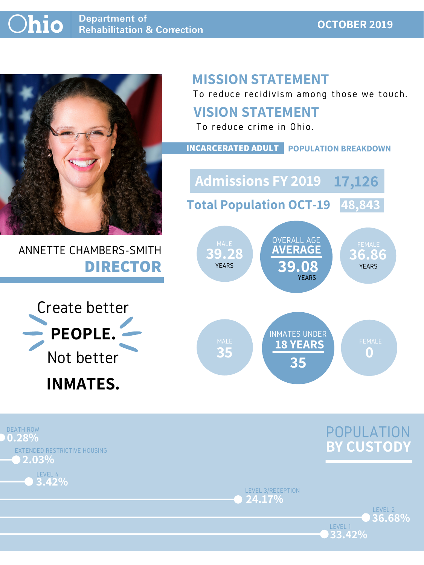#### **Ohio Department of Rehabilitation & Correction**

### **OCTOBER 2019**



## ANNETTE CHAMBERS-SMITH **DIRECTOR**

## **MISSION STATEMENT**

To reduce recidivism among those we touch.





LEVEL 1

LEVEL 3/RECEPTION **24.17%**





### **VISION STATEMENT**



To reduce crime in Ohio.

**INCARCERATED ADULT POPULATION BREAKDOWN**

**Total Population OCT-19 48,843**

**Admissions FY 2019 17,126**

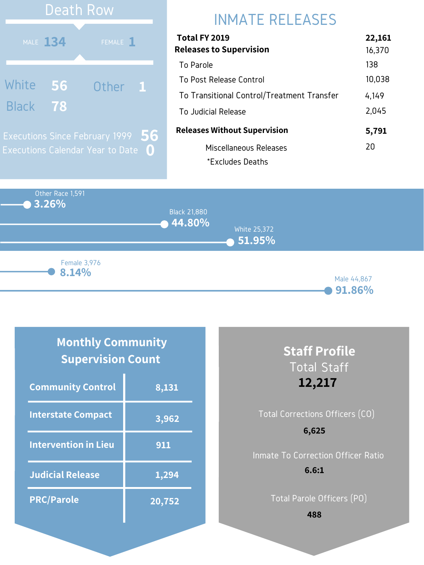Other Race 1,591 **3.26% 44.80% 51.95%** Black 21,880 White 25,372 Male 44,867 **8.14%** Female 3,976

#### **91.86%**

# INMATE RELEASES

| Total FY 2019                              | 22,161 |
|--------------------------------------------|--------|
| <b>Releases to Supervision</b>             | 16,370 |
| To Parole                                  | 138    |
| To Post Release Control                    | 10,038 |
| To Transitional Control/Treatment Transfer | 4,149  |
| To Judicial Release                        | 2,045  |
| <b>Releases Without Supervision</b>        | 5,791  |
| Miscellaneous Releases                     | 20     |
| *Excludes Deaths                           |        |



### **Monthly Community Supervision Count**

| <b>Community Control</b>    | 8,131  |
|-----------------------------|--------|
| <b>Interstate Compact</b>   | 3,962  |
| <b>Intervention in Lieu</b> | 911    |
| <b>Judicial Release</b>     | 1,294  |
| <b>PRC/Parole</b>           | 20,752 |

### **Staff Profile** Total Staff **12,217**

### Total Corrections Officers (CO) Inmate To Correction Officer Ratio **6,625 6.6:1**

Total Parole Officers (PO)

**488**